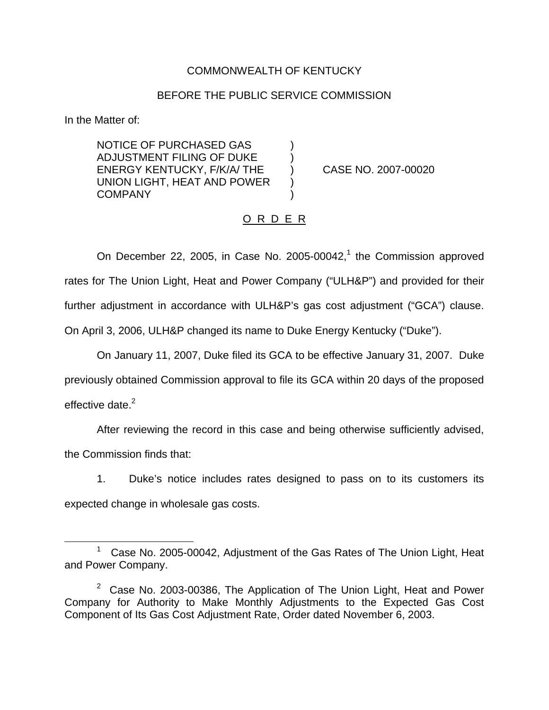### COMMONWEALTH OF KENTUCKY

#### BEFORE THE PUBLIC SERVICE COMMISSION

In the Matter of:

NOTICE OF PURCHASED GAS ) ADJUSTMENT FILING OF DUKE ) ENERGY KENTUCKY, F/K/A/ THE ) CASE NO. 2007-00020 UNION LIGHT, HEAT AND POWER ) **COMPANY** 

## O R D E R

On December 22, 2005, in Case No. 2005-00042, $<sup>1</sup>$  the Commission approved</sup> rates for The Union Light, Heat and Power Company ("ULH&P") and provided for their further adjustment in accordance with ULH&P's gas cost adjustment ("GCA") clause. On April 3, 2006, ULH&P changed its name to Duke Energy Kentucky ("Duke").

On January 11, 2007, Duke filed its GCA to be effective January 31, 2007. Duke previously obtained Commission approval to file its GCA within 20 days of the proposed effective date. $2$ 

After reviewing the record in this case and being otherwise sufficiently advised, the Commission finds that:

1. Duke's notice includes rates designed to pass on to its customers its expected change in wholesale gas costs.

Case No. 2005-00042, Adjustment of the Gas Rates of The Union Light, Heat and Power Company.

 $2$  Case No. 2003-00386, The Application of The Union Light, Heat and Power Company for Authority to Make Monthly Adjustments to the Expected Gas Cost Component of Its Gas Cost Adjustment Rate, Order dated November 6, 2003.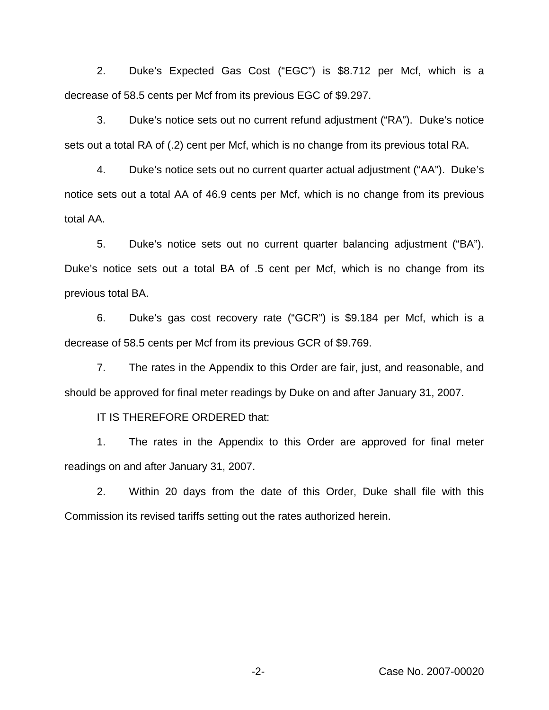2. Duke's Expected Gas Cost ("EGC") is \$8.712 per Mcf, which is a decrease of 58.5 cents per Mcf from its previous EGC of \$9.297.

3. Duke's notice sets out no current refund adjustment ("RA"). Duke's notice sets out a total RA of (.2) cent per Mcf, which is no change from its previous total RA.

4. Duke's notice sets out no current quarter actual adjustment ("AA"). Duke's notice sets out a total AA of 46.9 cents per Mcf, which is no change from its previous total AA.

5. Duke's notice sets out no current quarter balancing adjustment ("BA"). Duke's notice sets out a total BA of .5 cent per Mcf, which is no change from its previous total BA.

6. Duke's gas cost recovery rate ("GCR") is \$9.184 per Mcf, which is a decrease of 58.5 cents per Mcf from its previous GCR of \$9.769.

7. The rates in the Appendix to this Order are fair, just, and reasonable, and should be approved for final meter readings by Duke on and after January 31, 2007.

IT IS THEREFORE ORDERED that:

1. The rates in the Appendix to this Order are approved for final meter readings on and after January 31, 2007.

2. Within 20 days from the date of this Order, Duke shall file with this Commission its revised tariffs setting out the rates authorized herein.

-2- Case No. 2007-00020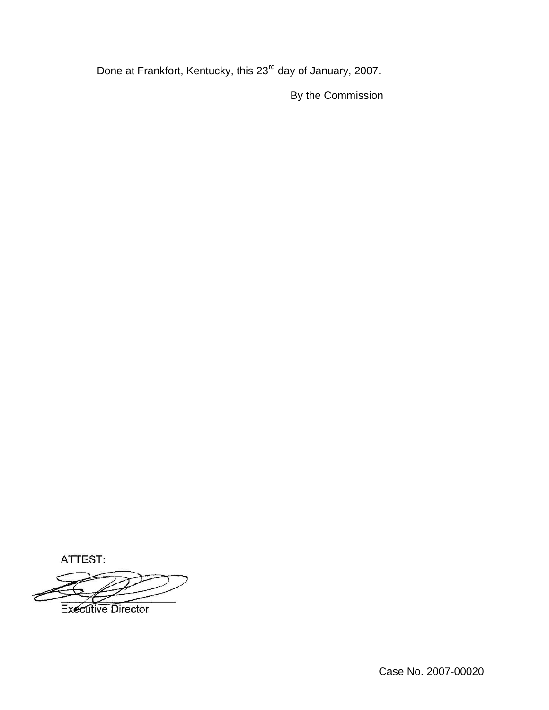Done at Frankfort, Kentucky, this 23<sup>rd</sup> day of January, 2007.

By the Commission

ATTEST:

**Executive Director** 

Case No. 2007-00020